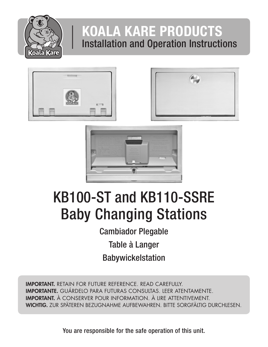

## KOALA KARE PRODUCTS Installation and Operation Instructions







# KB100-ST and KB110-SSRE Baby Changing Stations

Cambiador Plegable Table à Langer Babywickelstation

IMPORTANT. RETAIN FOR FUTURE REFERENCE. READ CAREFULLY. IMPORTANTE. GUÁRDELO PARA FUTURAS CONSULTAS. LEER ATENTAMENTE. IMPORTANT. À CONSERVER POUR INFORMATION. À LIRE ATTENTIVEMENT. WICHTIG. ZUR SPÄTEREN BEZUGNAHME AUFBEWAHREN. BITTE SORGFÄLTIG DURCHLESEN.

You are responsible for the safe operation of this unit.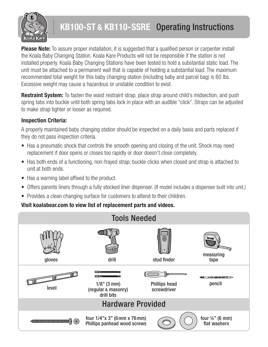

### KB100-ST & KB110-SSRE Operating Instructions

**Please Note:** To assure proper installation, it is suggested that a qualified person or carpenter install the Koala Baby Changing Station. Koala Kare Products will not be responsible if the station is not installed properly. Koala Baby Changing Stations have been tested to hold a substantial static load. The unit must be attached to a permanent wall that is capable of holding a substantial load. The maximum recommended total weight for this baby changing station (including baby and parcel bag) is 60 lbs. Excessive weight may cause a hazardous or unstable condition to exist.

**Restraint System:** To fasten the waist restraint strap, place strap around child's midsection, and push spring tabs into buckle until both spring tabs lock in place with an audible "click". Straps can be adjusted to make strap tighter or looser as required.

#### Inspection Criteria:

A properly maintained baby changing station should be inspected on a daily basis and parts replaced if they do not pass inspection criteria.

- Has a pneumatic shock that controls the smooth opening and closing of the unit. Shock may need replacement if door opens or closes too rapidly or door doesn't close completely.
- Has both ends of a functioning, non-frayed strap: buckle clicks when closed and strap is attached to unit at both ends.
- Has a warning label affixed to the product.
- Offers parents liners through a fully stocked liner dispenser. (If model includes a dispenser built into unit.)
- Provides a clean changing surface for customers to attend to their children.

#### Visit koalabear.com to view list of replacement parts and videos.

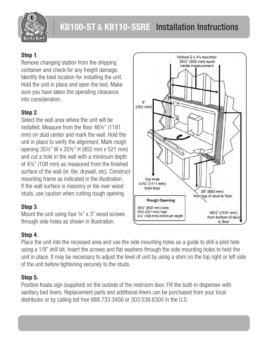

#### Step 1.

Remove changing station from the shipping container and check for any freight damage. Identify the best location for installing the unit. Hold the unit in place and open the bed. Make sure you have taken the operating clearance into consideration.

#### Step 2.

Select the wall area where the unit will be installed. Measure from the floor 46½" (1181 mm) on stud center and mark the wall. Hold the unit in place to verify the alignment. Mark rough opening 35½" W x 20½" H (902 mm x 521 mm) and cut a hole in the wall with a minimum depth of 4¼" (108 mm) as measured from the finished surface of the wall (ie: tile, drywall, etc). Construct mounting frame as indicated in the illustration. If the wall surface is masonry or tile over wood studs, use caution when cutting rough opening.

#### Step 3.

Mount the unit using four  $\frac{1}{4}$ " x 3" wood screws through side holes as shown in illustration.

#### Step 4.

Place the unit into the recessed area and use the side mounting holes as a guide to drill a pilot hole using a 1/8" drill bit. Insert the screws and flat washers through the side mounting holes to hold the unit in place. It may be necessary to adjust the level of unit by using a shim on the top right or left side of the unit before tightening securely to the studs.

#### Step 5.

Position Koala sign (supplied) on the outside of the restroom door. Fill the built-in dispenser with sanitary bed liners. Replacement parts and additional liners can be purchased from your local distributor or by calling toll free 888.733.3456 or 303.539.8300 in the U.S.